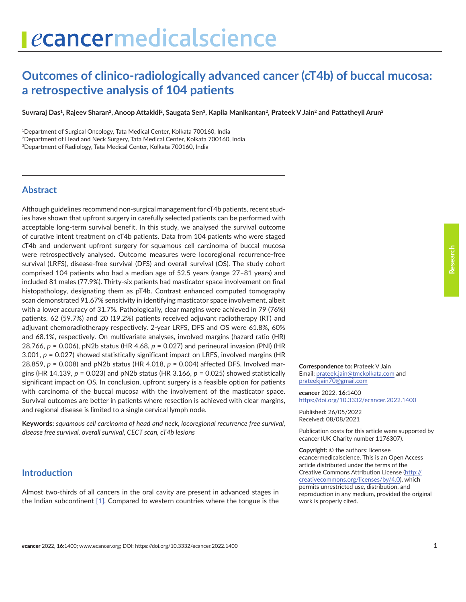# **Outcomes of clinico-radiologically advanced cancer (cT4b) of buccal mucosa: a retrospective analysis of 104 patients**

Suvraraj Das<sup>1</sup>, Rajeev Sharan<sup>2</sup>, Anoop Attakkil<sup>2</sup>, Saugata Sen<sup>3</sup>, Kapila Manikantan<sup>2</sup>, Prateek V Jain<sup>2</sup> and Pattatheyil Arun<sup>2</sup>

<sup>1</sup>Department of Surgical Oncology, Tata Medical Center, Kolkata 700160, India <sup>2</sup>Department of Head and Neck Surgery, Tata Medical Center, Kolkata 700160, India <sup>3</sup>Department of Radiology, Tata Medical Center, Kolkata 700160, India

#### **Abstract**

Although guidelines recommend non-surgical management for cT4b patients, recent studies have shown that upfront surgery in carefully selected patients can be performed with acceptable long-term survival benefit. In this study, we analysed the survival outcome of curative intent treatment on cT4b patients. Data from 104 patients who were staged cT4b and underwent upfront surgery for squamous cell carcinoma of buccal mucosa were retrospectively analysed. Outcome measures were locoregional recurrence-free survival (LRFS), disease-free survival (DFS) and overall survival (OS). The study cohort comprised 104 patients who had a median age of 52.5 years (range 27–81 years) and included 81 males (77.9%). Thirty-six patients had masticator space involvement on final histopathology, designating them as pT4b. Contrast enhanced computed tomography scan demonstrated 91.67% sensitivity in identifying masticator space involvement, albeit with a lower accuracy of 31.7%. Pathologically, clear margins were achieved in 79 (76%) patients. 62 (59.7%) and 20 (19.2%) patients received adjuvant radiotherapy (RT) and adjuvant chemoradiotherapy respectively. 2-year LRFS, DFS and OS were 61.8%, 60% and 68.1%, respectively. On multivariate analyses, involved margins (hazard ratio (HR) 28.766, *p* = 0.006), pN2b status (HR 4.68, *p* = 0.027) and perineural invasion (PNI) (HR 3.001, *p* = 0.027) showed statistically significant impact on LRFS, involved margins (HR 28.859, *p* = 0.008) and pN2b status (HR 4.018, *p* = 0.004) affected DFS. Involved margins (HR 14.139, *p* = 0.023) and pN2b status (HR 3.166, *p* = 0.025) showed statistically significant impact on OS. In conclusion, upfront surgery is a feasible option for patients with carcinoma of the buccal mucosa with the involvement of the masticator space. Survival outcomes are better in patients where resection is achieved with clear margins, and regional disease is limited to a single cervical lymph node.

**Keywords:** *squamous cell carcinoma of head and neck, locoregional recurrence free survival, disease free survival, overall survival, CECT scan, cT4b lesions*

## **Introduction**

Almost two-thirds of all cancers in the oral cavity are present in advanced stages in the Indian subcontinent [\[1\].](#page-7-0) Compared to western countries where the tongue is the **Correspondence to:** Prateek V Jain Email: [prateek.jain@tmckolkata.com](mailto:prateek.jain@tmckolkata.com) and [prateekjain70@gmail.com](mailto:prateekjain70@gmail.com)

*e***cancer** 2022, **16**:1400 <https://doi.org/10.3332/ecancer.2022.1400>

Published: 26/05/2022 Received: 08/08/2021

Publication costs for this article were supported by *e*cancer (UK Charity number 1176307).

**Copyright:** © the authors; licensee *e*cancermedicalscience. This is an Open Access article distributed under the terms of the Creative Commons Attribution License (http:// creativecommons.org/licenses/by/4.0), which permits unrestricted use, distribution, and reproduction in any medium, provided the original work is properly cited.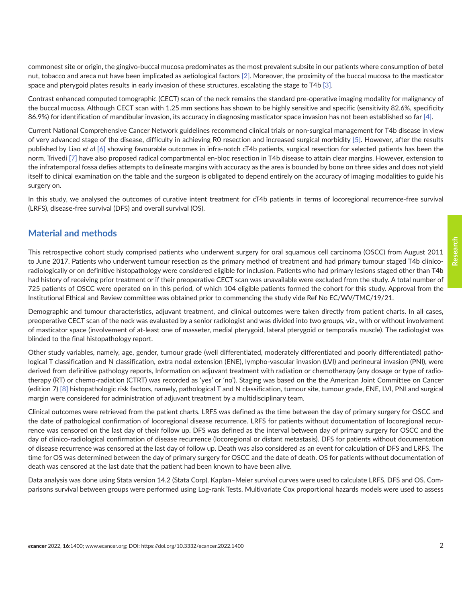commonest site or origin, the gingivo-buccal mucosa predominates as the most prevalent subsite in our patients where consumption of betel nut, tobacco and areca nut have been implicated as aetiological factors [\[2\]](#page-7-0). Moreover, the proximity of the buccal mucosa to the masticator space and pterygoid plates results in early invasion of these structures, escalating the stage to T4b [\[3\]](#page-7-0).

Contrast enhanced computed tomographic (CECT) scan of the neck remains the standard pre-operative imaging modality for malignancy of the buccal mucosa. Although CECT scan with 1.25 mm sections has shown to be highly sensitive and specific (sensitivity 82.6%, specificity 86.9%) for identification of mandibular invasion, its accuracy in diagnosing masticator space invasion has not been established so far [\[4\]](#page-8-0).

Current National Comprehensive Cancer Network guidelines recommend clinical trials or non-surgical management for T4b disease in view of very advanced stage of the disease, difficulty in achieving R0 resection and increased surgical morbidity [\[5\]](#page-8-0). However, after the results published by Liao *et al* [\[6\]](#page-8-0) showing favourable outcomes in infra-notch cT4b patients, surgical resection for selected patients has been the norm. Trivedi [\[7\]](#page-8-0) have also proposed radical compartmental en-bloc resection in T4b disease to attain clear margins. However, extension to the infratemporal fossa defies attempts to delineate margins with accuracy as the area is bounded by bone on three sides and does not yield itself to clinical examination on the table and the surgeon is obligated to depend entirely on the accuracy of imaging modalities to guide his surgery on.

In this study, we analysed the outcomes of curative intent treatment for cT4b patients in terms of locoregional recurrence-free survival (LRFS), disease-free survival (DFS) and overall survival (OS).

## **Material and methods**

This retrospective cohort study comprised patients who underwent surgery for oral squamous cell carcinoma (OSCC) from August 2011 to June 2017. Patients who underwent tumour resection as the primary method of treatment and had primary tumour staged T4b clinicoradiologically or on definitive histopathology were considered eligible for inclusion. Patients who had primary lesions staged other than T4b had history of receiving prior treatment or if their preoperative CECT scan was unavailable were excluded from the study. A total number of 725 patients of OSCC were operated on in this period, of which 104 eligible patients formed the cohort for this study. Approval from the Institutional Ethical and Review committee was obtained prior to commencing the study vide Ref No EC/WV/TMC/19/21.

Demographic and tumour characteristics, adjuvant treatment, and clinical outcomes were taken directly from patient charts. In all cases, preoperative CECT scan of the neck was evaluated by a senior radiologist and was divided into two groups, viz., with or without involvement of masticator space (involvement of at-least one of masseter, medial pterygoid, lateral pterygoid or temporalis muscle). The radiologist was blinded to the final histopathology report.

Other study variables, namely, age, gender, tumour grade (well differentiated, moderately differentiated and poorly differentiated) pathological T classification and N classification, extra nodal extension (ENE), lympho-vascular invasion (LVI) and perineural invasion (PNI), were derived from definitive pathology reports, Information on adjuvant treatment with radiation or chemotherapy (any dosage or type of radiotherapy (RT) or chemo-radiation (CTRT) was recorded as 'yes' or 'no'). Staging was based on the the American Joint Committee on Cancer (edition 7) [\[8\]](#page-8-0) histopathologic risk factors, namely, pathological T and N classification, tumour site, tumour grade, ENE, LVI, PNI and surgical margin were considered for administration of adjuvant treatment by a multidisciplinary team.

Clinical outcomes were retrieved from the patient charts. LRFS was defined as the time between the day of primary surgery for OSCC and the date of pathological confirmation of locoregional disease recurrence. LRFS for patients without documentation of locoregional recurrence was censored on the last day of their follow up. DFS was defined as the interval between day of primary surgery for OSCC and the day of clinico-radiological confirmation of disease recurrence (locoregional or distant metastasis). DFS for patients without documentation of disease recurrence was censored at the last day of follow up. Death was also considered as an event for calculation of DFS and LRFS. The time for OS was determined between the day of primary surgery for OSCC and the date of death. OS for patients without documentation of death was censored at the last date that the patient had been known to have been alive.

Data analysis was done using Stata version 14.2 (Stata Corp). Kaplan–Meier survival curves were used to calculate LRFS, DFS and OS. Comparisons survival between groups were performed using Log-rank Tests. Multivariate Cox proportional hazards models were used to assess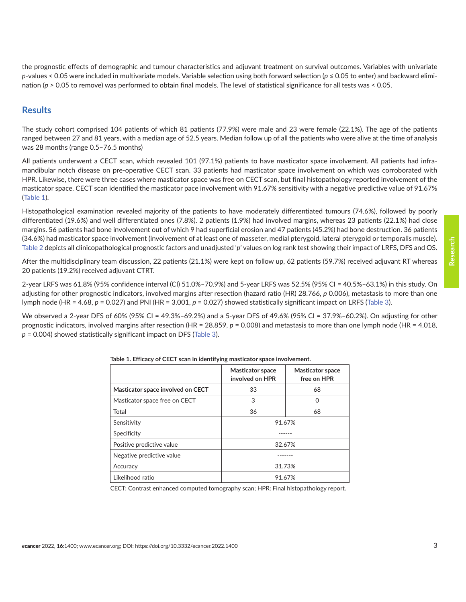the prognostic effects of demographic and tumour characteristics and adjuvant treatment on survival outcomes. Variables with univariate *p*-values < 0.05 were included in multivariate models. Variable selection using both forward selection (*p* ≤ 0.05 to enter) and backward elimination (*p* > 0.05 to remove) was performed to obtain final models. The level of statistical significance for all tests was < 0.05.

#### **Results**

The study cohort comprised 104 patients of which 81 patients (77.9%) were male and 23 were female (22.1%). The age of the patients ranged between 27 and 81 years, with a median age of 52.5 years. Median follow up of all the patients who were alive at the time of analysis was 28 months (range 0.5–76.5 months)

All patients underwent a CECT scan, which revealed 101 (97.1%) patients to have masticator space involvement. All patients had inframandibular notch disease on pre-operative CECT scan. 33 patients had masticator space involvement on which was corroborated with HPR. Likewise, there were three cases where masticator space was free on CECT scan, but final histopathology reported involvement of the masticator space. CECT scan identified the masticator pace involvement with 91.67% sensitivity with a negative predictive value of 91.67% (Table 1).

Histopathological examination revealed majority of the patients to have moderately differentiated tumours (74.6%), followed by poorly differentiated (19.6%) and well differentiated ones (7.8%). 2 patients (1.9%) had involved margins, whereas 23 patients (22.1%) had close margins. 56 patients had bone involvement out of which 9 had superficial erosion and 47 patients (45.2%) had bone destruction. 36 patients (34.6%) had masticator space involvement (involvement of at least one of masseter, medial pterygoid, lateral pterygoid or temporalis muscle). [Table 2](#page-4-0) depicts all clinicopathological prognostic factors and unadjusted '*p*' values on log rank test showing their impact of LRFS, DFS and OS.

After the multidisciplinary team discussion, 22 patients (21.1%) were kept on follow up, 62 patients (59.7%) received adjuvant RT whereas 20 patients (19.2%) received adjuvant CTRT.

2-year LRFS was 61.8% (95% confidence interval (CI) 51.0%–70.9%) and 5-year LRFS was 52.5% (95% CI = 40.5%–63.1%) in this study. On adjusting for other prognostic indicators, involved margins after resection (hazard ratio (HR) 28.766, *p* 0.006), metastasis to more than one lymph node (HR = 4.68, *p* = 0.027) and PNI (HR = 3.001, *p* = 0.027) showed statistically significant impact on LRFS ([Table 3](#page-4-0)).

We observed a 2-year DFS of 60% (95% CI = 49.3%–69.2%) and a 5-year DFS of 49.6% (95% CI = 37.9%–60.2%). On adjusting for other prognostic indicators, involved margins after resection (HR = 28.859, *p* = 0.008) and metastasis to more than one lymph node (HR = 4.018, *p* = 0.004) showed statistically significant impact on DFS ([Table 3\)](#page-4-0).

|                                   | <b>Masticator space</b><br>involved on HPR | <b>Masticator space</b><br>free on HPR |  |
|-----------------------------------|--------------------------------------------|----------------------------------------|--|
| Masticator space involved on CECT | 33                                         | 68                                     |  |
| Masticator space free on CECT     | 3                                          | 0                                      |  |
| Total                             | 36                                         | 68                                     |  |
| Sensitivity                       | 91.67%                                     |                                        |  |
| Specificity                       |                                            |                                        |  |
| Positive predictive value         | 32.67%                                     |                                        |  |
| Negative predictive value         |                                            |                                        |  |
| Accuracy                          | 31.73%                                     |                                        |  |
| Likelihood ratio                  | 91.67%                                     |                                        |  |

**Table 1. Efficacy of CECT scan in identifying masticator space involvement.**

CECT: Contrast enhanced computed tomography scan; HPR: Final histopathology report.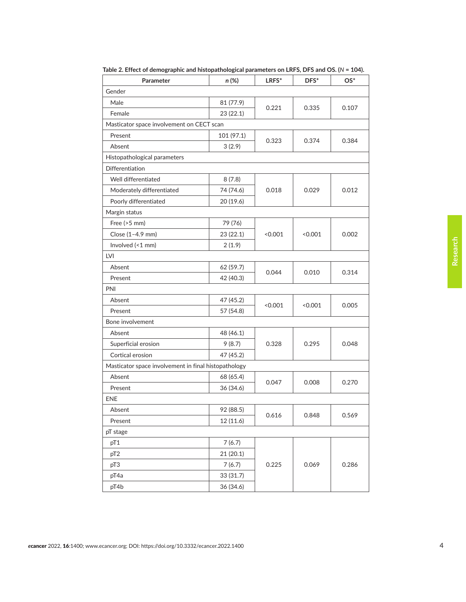| Parameter                                            | $n (\%)$   | LRFS*   | DFS*    | $OS^*$ |  |
|------------------------------------------------------|------------|---------|---------|--------|--|
| Gender                                               |            |         |         |        |  |
| Male                                                 | 81 (77.9)  |         |         |        |  |
| Female                                               | 23(22.1)   | 0.221   | 0.335   | 0.107  |  |
| Masticator space involvement on CECT scan            |            |         |         |        |  |
| Present                                              | 101 (97.1) | 0.323   | 0.374   | 0.384  |  |
| Absent                                               | 3(2.9)     |         |         |        |  |
| Histopathological parameters                         |            |         |         |        |  |
| <b>Differentiation</b>                               |            |         |         |        |  |
| Well differentiated                                  | 8(7.8)     |         |         |        |  |
| Moderately differentiated                            | 74 (74.6)  | 0.018   | 0.029   | 0.012  |  |
| Poorly differentiated                                | 20 (19.6)  |         |         |        |  |
| Margin status                                        |            |         |         |        |  |
| Free $(>5$ mm)                                       | 79 (76)    |         |         |        |  |
| Close (1-4.9 mm)                                     | 23 (22.1)  | < 0.001 | < 0.001 | 0.002  |  |
| Involved (<1 mm)                                     | 2(1.9)     |         |         |        |  |
| LVI                                                  |            |         |         |        |  |
| Absent                                               | 62 (59.7)  | 0.044   | 0.010   | 0.314  |  |
| Present                                              | 42 (40.3)  |         |         |        |  |
| PNI                                                  |            |         |         |        |  |
| Absent                                               | 47 (45.2)  | < 0.001 | < 0.001 | 0.005  |  |
| Present                                              | 57 (54.8)  |         |         |        |  |
| Bone involvement                                     |            |         |         |        |  |
| Absent                                               | 48 (46.1)  |         | 0.295   |        |  |
| Superficial erosion                                  | 9(8.7)     | 0.328   |         | 0.048  |  |
| Cortical erosion                                     | 47 (45.2)  |         |         |        |  |
| Masticator space involvement in final histopathology |            |         |         |        |  |
| Absent                                               | 68 (65.4)  | 0.047   | 0.008   | 0.270  |  |
| Present                                              | 36 (34.6)  |         |         |        |  |
| <b>ENE</b>                                           |            |         |         |        |  |
| Absent                                               | 92 (88.5)  | 0.616   |         |        |  |
| Present                                              | 12 (11.6)  |         | 0.848   | 0.569  |  |
| pT stage                                             |            |         |         |        |  |
| pT1                                                  | 7(6.7)     |         |         |        |  |
| pT <sub>2</sub>                                      | 21 (20.1)  |         |         |        |  |
| pT3                                                  | 7(6.7)     | 0.225   | 0.069   | 0.286  |  |
| pT4a                                                 | 33 (31.7)  |         |         |        |  |
| pT4b                                                 | 36 (34.6)  |         |         |        |  |

**Table 2. Effect of demographic and histopathological parameters on LRFS, DFS and OS. (***N* **= 104).**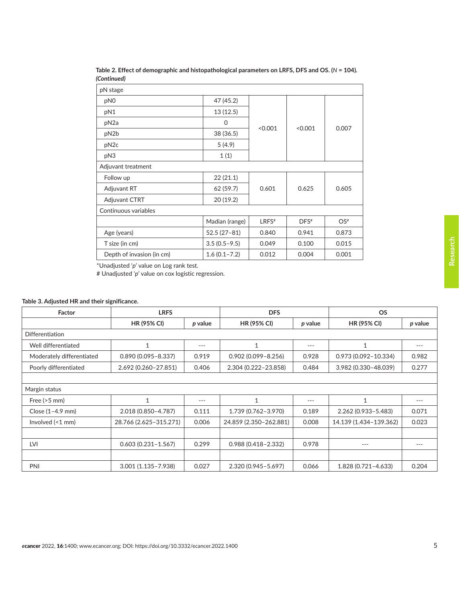| pN stage                  |                  |         |                    |                 |
|---------------------------|------------------|---------|--------------------|-----------------|
| pN <sub>0</sub>           | 47 (45.2)        |         |                    | 0.007           |
| pN1                       | 13(12.5)         |         | < 0.001            |                 |
| pN <sub>2a</sub>          | 0                |         |                    |                 |
| pN2b                      | 38 (36.5)        | < 0.001 |                    |                 |
| pN <sub>2c</sub>          | 5(4.9)           |         |                    |                 |
| pN3                       | 1(1)             |         |                    |                 |
| Adjuvant treatment        |                  |         |                    |                 |
| Follow up                 | 22(21.1)         |         |                    |                 |
| <b>Adjuvant RT</b>        | 62 (59.7)        | 0.601   | 0.625              | 0.605           |
| Adjuvant CTRT             | 20(19.2)         |         |                    |                 |
| Continuous variables      |                  |         |                    |                 |
|                           | Madian (range)   | LRFS#   | $DFS$ <sup>#</sup> | OS <sup>#</sup> |
| Age (years)               | $52.5(27-81)$    | 0.840   | 0.941              | 0.873           |
| T size (in cm)            | $3.5(0.5-9.5)$   | 0.049   | 0.100              | 0.015           |
| Depth of invasion (in cm) | $1.6(0.1 - 7.2)$ | 0.012   | 0.004              | 0.001           |
|                           |                  |         |                    |                 |

<span id="page-4-0"></span>**Table 2. Effect of demographic and histopathological parameters on LRFS, DFS and OS. (***N* **= 104).**  *(Continued)*

\*Unadjusted '*p*' value on Log rank test.

# Unadjusted '*p*' value on cox logistic regression.

#### **Table 3. Adjusted HR and their significance.**

| Factor                    | <b>LRFS</b>            |         | <b>DFS</b>             |         | <b>OS</b>               |         |
|---------------------------|------------------------|---------|------------------------|---------|-------------------------|---------|
|                           | <b>HR (95% CI)</b>     | p value | <b>HR (95% CI)</b>     | p value | <b>HR (95% CI)</b>      | p value |
| Differentiation           |                        |         |                        |         |                         |         |
| Well differentiated       | $\mathbf{1}$           | $---$   | 1                      | $---$   | $\mathbf{1}$            | $---$   |
| Moderately differentiated | $0.890(0.095 - 8.337)$ | 0.919   | $0.902(0.099 - 8.256)$ | 0.928   | $0.973(0.092 - 10.334)$ | 0.982   |
| Poorly differentiated     | 2.692 (0.260-27.851)   | 0.406   | 2.304 (0.222-23.858)   | 0.484   | 3.982 (0.330-48.039)    | 0.277   |
|                           |                        |         |                        |         |                         |         |
| Margin status             |                        |         |                        |         |                         |         |
| Free $(>5$ mm)            | $\mathbf{1}$           | $---$   | 1                      | $---$   | 1                       | $---$   |
| Close $(1-4.9$ mm)        | 2.018 (0.850-4.787)    | 0.111   | 1.739 (0.762-3.970)    | 0.189   | 2.262 (0.933-5.483)     | 0.071   |
| Involved $($ < 1 mm $)$   | 28.766 (2.625-315.271) | 0.006   | 24.859 (2.350-262.881) | 0.008   | 14.139 (1.434-139.362)  | 0.023   |
|                           |                        |         |                        |         |                         |         |
| <b>LVI</b>                | $0.603(0.231 - 1.567)$ | 0.299   | $0.988(0.418 - 2.332)$ | 0.978   | $---$                   | $---$   |
|                           |                        |         |                        |         |                         |         |
| PNI                       | $3.001(1.135 - 7.938)$ | 0.027   | 2.320 (0.945-5.697)    | 0.066   | 1.828 (0.721-4.633)     | 0.204   |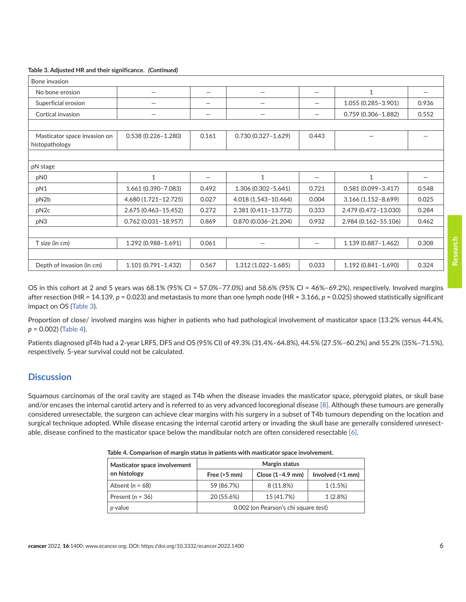#### **Table 3. Adjusted HR and their significance.** *(Continued)*

| Bone invasion                                  |                         |       |                          |                          |                        |                        |
|------------------------------------------------|-------------------------|-------|--------------------------|--------------------------|------------------------|------------------------|
| No bone erosion                                | —                       | —     | —                        | —                        | $\mathbf{1}$           | $\qquad \qquad \qquad$ |
| Superficial erosion                            | —                       | —     | $\overline{\phantom{0}}$ |                          | 1.055 (0.285-3.901)    | 0.936                  |
| Cortical invasion                              |                         |       |                          |                          | $0.759(0.306 - 1.882)$ | 0.552                  |
|                                                |                         |       |                          |                          |                        |                        |
| Masticator space invasion on<br>histopathology | $0.538(0.226 - 1.280)$  | 0.161 | $0.730(0.327 - 1.629)$   | 0.443                    |                        |                        |
|                                                |                         |       |                          |                          |                        |                        |
| pN stage                                       |                         |       |                          |                          |                        |                        |
| pN0                                            | $\mathbf{1}$            | —     | 1                        | $\qquad \qquad$          | $\mathbf{1}$           |                        |
| pN1                                            | 1.661 (0.390-7.083)     | 0.492 | 1.306 (0.302-5.641)      | 0.721                    | $0.581(0.099 - 3.417)$ | 0.548                  |
| pN2b                                           | 4.680 (1.721-12.725)    | 0.027 | 4.018 (1.543-10.464)     | 0.004                    | $3.166(1.152 - 8.699)$ | 0.025                  |
| pN <sub>2c</sub>                               | 2.675 (0.463-15.452)    | 0.272 | 2.381 (0.411-13.772)     | 0.333                    | 2.479 (0.472-13.030)   | 0.284                  |
| pN3                                            | $0.762(0.031 - 18.957)$ | 0.869 | $0.870(0.036 - 21.204)$  | 0.932                    | 2.984 (0.162-55.106)   | 0.462                  |
|                                                |                         |       |                          |                          |                        |                        |
| T size (in cm)                                 | 1.292 (0.988-1.691)     | 0.061 |                          | $\overline{\phantom{0}}$ | 1.139 (0.887-1.462)    | 0.308                  |
|                                                |                         |       |                          |                          |                        |                        |
| Depth of invasion (in cm)                      | $1.101(0.791 - 1.432)$  | 0.567 | $1.312(1.022 - 1.685)$   | 0.033                    | $1.192(0.841 - 1.690)$ | 0.324                  |

OS in this cohort at 2 and 5 years was 68.1% (95% CI = 57.0%–77.0%) and 58.6% (95% CI = 46%–69.2%), respectively. Involved margins after resection (HR = 14.139,  $p$  = 0.023) and metastasis to more than one lymph node (HR = 3.166,  $p$  = 0.025) showed statistically significant impact on OS [\(Table 3](#page-4-0)).

Proportion of close/ involved margins was higher in patients who had pathological involvement of masticator space (13.2% versus 44.4%, *p* = 0.002) (Table 4).

Patients diagnosed pT4b had a 2-year LRFS, DFS and OS (95% CI) of 49.3% (31.4%–64.8%), 44.5% (27.5%–60.2%) and 55.2% (35%–71.5%), respectively. 5-year survival could not be calculated.

#### **Discussion**

Squamous carcinomas of the oral cavity are staged as T4b when the disease invades the masticator space, pterygoid plates, or skull base and/or encases the internal carotid artery and is referred to as very advanced locoregional disease [\[8\].](#page-8-0) Although these tumours are generally considered unresectable, the surgeon can achieve clear margins with his surgery in a subset of T4b tumours depending on the location and surgical technique adopted. While disease encasing the internal carotid artery or invading the skull base are generally considered unresectable, disease confined to the masticator space below the mandibular notch are often considered resectable [\[6\]](#page-8-0).

| Table 4. Comparison or margin status in patients with masticator space involvement. |                                      |                    |                  |  |  |
|-------------------------------------------------------------------------------------|--------------------------------------|--------------------|------------------|--|--|
| Masticator space involvement                                                        | Margin status                        |                    |                  |  |  |
| on histology                                                                        | Free $(>5$ mm)                       | Close $(1-4.9$ mm) | Involved (<1 mm) |  |  |
| Absent $(n = 68)$                                                                   | 59 (86.7%)                           | 8 (11.8%)          | 1(1.5%)          |  |  |
| Present ( $n = 36$ )                                                                | 20 (55.6%)                           | 15 (41.7%)         | 1(2.8%)          |  |  |
| <i>p</i> value                                                                      | 0.002 (on Pearson's chi square test) |                    |                  |  |  |

**Table 4. Comparison of margin status in patients with masticator space involvement.**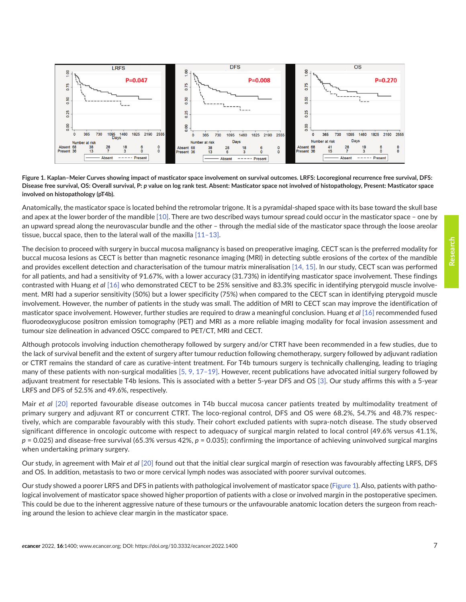

**Figure 1. Kaplan–Meier Curves showing impact of masticator space involvement on survival outcomes. LRFS: Locoregional recurrence free survival, DFS:**  Disease free survival, OS: Overall survival, P: *p* value on log rank test. Absent: Masticator space not involved of histopathology, Present: Masticator space **involved on histopathology (pT4b).**

Anatomically, the masticator space is located behind the retromolar trigone. It is a pyramidal-shaped space with its base toward the skull base and apex at the lower border of the mandible [\[10\].](#page-8-0) There are two described ways tumour spread could occur in the masticator space – one by an upward spread along the neurovascular bundle and the other – through the medial side of the masticator space through the loose areolar tissue, buccal space, then to the lateral wall of the maxilla [\[11–13\].](#page-8-0)

The decision to proceed with surgery in buccal mucosa malignancy is based on preoperative imaging. CECT scan is the preferred modality for buccal mucosa lesions as CECT is better than magnetic resonance imaging (MRI) in detecting subtle erosions of the cortex of the mandible and provides excellent detection and characterisation of the tumour matrix mineralisation [\[14,](#page-8-0) [15\].](#page-8-0) In our study, CECT scan was performed for all patients, and had a sensitivity of 91.67%, with a lower accuracy (31.73%) in identifying masticator space involvement. These findings contrasted with Huang *et al* [\[16\]](#page-8-0) who demonstrated CECT to be 25% sensitive and 83.3% specific in identifying pterygoid muscle involvement. MRI had a superior sensitivity (50%) but a lower specificity (75%) when compared to the CECT scan in identifying pterygoid muscle involvement. However, the number of patients in the study was small. The addition of MRI to CECT scan may improve the identification of masticator space involvement. However, further studies are required to draw a meaningful conclusion. Huang *et al* [\[16\]](#page-8-0) recommended fused fluorodeoxyglucose positron emission tomography (PET) and MRI as a more reliable imaging modality for focal invasion assessment and tumour size delineation in advanced OSCC compared to PET/CT, MRI and CECT.

Although protocols involving induction chemotherapy followed by surgery and/or CTRT have been recommended in a few studies, due to the lack of survival benefit and the extent of surgery after tumour reduction following chemotherapy, surgery followed by adjuvant radiation or CTRT remains the standard of care as curative-intent treatment. For T4b tumours surgery is technically challenging, leading to triaging many of these patients with non-surgical modalities  $[5, 9, 17-19]$  $[5, 9, 17-19]$ . However, recent publications have advocated initial surgery followed by adjuvant treatment for resectable T4b lesions. This is associated with a better 5-year DFS and OS [\[3\].](#page-7-0) Our study affirms this with a 5-year LRFS and DFS of 52.5% and 49.6%, respectively.

Mair *et al* [\[20\]](#page-8-0) reported favourable disease outcomes in T4b buccal mucosa cancer patients treated by multimodality treatment of primary surgery and adjuvant RT or concurrent CTRT. The loco-regional control, DFS and OS were 68.2%, 54.7% and 48.7% respectively, which are comparable favourably with this study. Their cohort excluded patients with supra-notch disease. The study observed significant difference in oncologic outcome with respect to adequacy of surgical margin related to local control (49.6% versus 41.1%, *p* = 0.025) and disease-free survival (65.3% versus 42%, *p* = 0.035); confirming the importance of achieving uninvolved surgical margins when undertaking primary surgery.

Our study, in agreement with Mair *et al* [\[20\]](#page-8-0) found out that the initial clear surgical margin of resection was favourably affecting LRFS, DFS and OS. In addition, metastasis to two or more cervical lymph nodes was associated with poorer survival outcomes.

Our study showed a poorer LRFS and DFS in patients with pathological involvement of masticator space (Figure 1). Also, patients with pathological involvement of masticator space showed higher proportion of patients with a close or involved margin in the postoperative specimen. This could be due to the inherent aggressive nature of these tumours or the unfavourable anatomic location deters the surgeon from reaching around the lesion to achieve clear margin in the masticator space.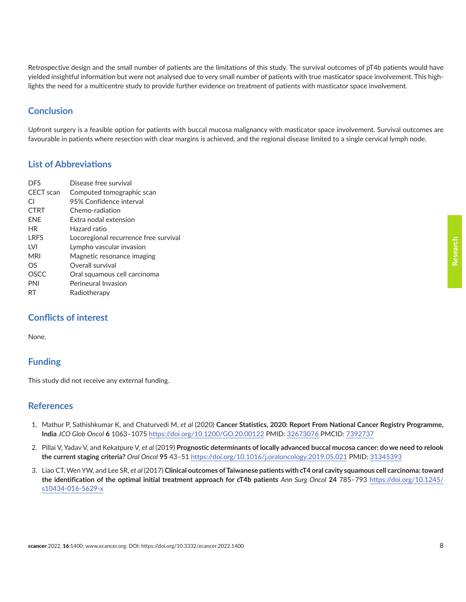<span id="page-7-0"></span>Retrospective design and the small number of patients are the limitations of this study. The survival outcomes of pT4b patients would have yielded insightful information but were not analysed due to very small number of patients with true masticator space involvement. This highlights the need for a multicentre study to provide further evidence on treatment of patients with masticator space involvement.

# **Conclusion**

Upfront surgery is a feasible option for patients with buccal mucosa malignancy with masticator space involvement. Survival outcomes are favourable in patients where resection with clear margins is achieved, and the regional disease limited to a single cervical lymph node.

## **List of Abbreviations**

| <b>DES</b>       | Disease free survival                 |
|------------------|---------------------------------------|
| <b>CECT</b> scan | Computed tomographic scan             |
| CI.              | 95% Confidence interval               |
| <b>CTRT</b>      | Chemo-radiation                       |
| <b>ENE</b>       | Extra nodal extension                 |
| <b>HR</b>        | Hazard ratio                          |
| <b>LRFS</b>      | Locoregional recurrence free survival |
| <b>LVI</b>       | Lympho vascular invasion              |
| <b>MRI</b>       | Magnetic resonance imaging            |
| OS               | Overall survival                      |
| <b>OSCC</b>      | Oral squamous cell carcinoma          |
| PNI              | Perineural Invasion                   |
| RT               | Radiotherapy                          |
|                  |                                       |

## **Conflicts of interest**

None.

# **Funding**

This study did not receive any external funding.

## **References**

- 1. Mathur P, Sathishkumar K, and Chaturvedi M, *et al* (2020) **Cancer Statistics, 2020: Report From National Cancer Registry Programme, India** *JCO Glob Oncol* **6** 1063–1075 <https://doi.org/10.1200/GO.20.00122> PMID: [32673076](http://www.ncbi.nlm.nih.gov/pubmed/32673076) PMCID: [7392737](http://www.ncbi.nlm.nih.gov/pmc/articles/PMC7392737)
- 2. Pillai V, Yadav V, and Kekatpure V, *et al* (2019) **Prognostic determinants of locally advanced buccal mucosa cancer: do we need to relook the current staging criteria?** *Oral Oncol* **95** 43–51 <https://doi.org/10.1016/j.oraloncology.2019.05.021> PMID: [31345393](http://www.ncbi.nlm.nih.gov/pubmed/31345393)
- 3. Liao CT, Wen YW, and Lee SR, *et al* (2017) **Clinical outcomes of Taiwanese patients with cT4 oral cavity squamous cell carcinoma: toward the identification of the optimal initial treatment approach for cT4b patients** *Ann Surg Oncol* **24** 785–793 [https://doi.org/10.1245/](https://doi.org/10.1245/s10434-016-5629-x) [s10434-016-5629-x](https://doi.org/10.1245/s10434-016-5629-x)